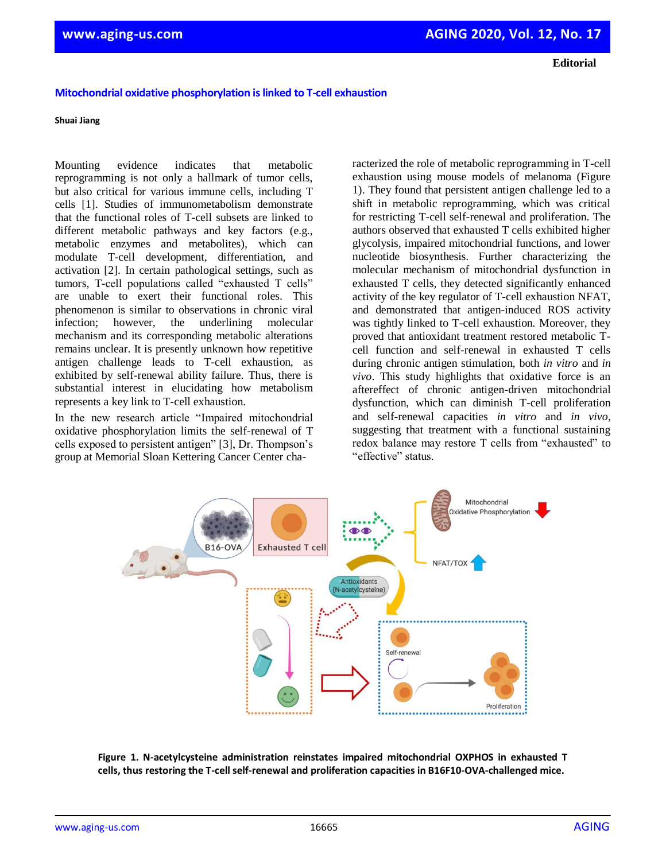**Editorial**

## **Mitochondrial oxidative phosphorylation is linked to T-cell exhaustion**

## **Shuai Jiang**

Mounting evidence indicates that metabolic reprogramming is not only a hallmark of tumor cells, but also critical for various immune cells, including T cells [1]. Studies of immunometabolism demonstrate that the functional roles of T-cell subsets are linked to different metabolic pathways and key factors (e.g., metabolic enzymes and metabolites), which can modulate T-cell development, differentiation, and activation [2]. In certain pathological settings, such as tumors, T-cell populations called "exhausted T cells" are unable to exert their functional roles. This phenomenon is similar to observations in chronic viral infection; however, the underlining molecular mechanism and its corresponding metabolic alterations remains unclear. It is presently unknown how repetitive antigen challenge leads to T-cell exhaustion, as exhibited by self-renewal ability failure. Thus, there is substantial interest in elucidating how metabolism represents a key link to T-cell exhaustion.

In the new research article "Impaired mitochondrial oxidative phosphorylation limits the self-renewal of T cells exposed to persistent antigen" [3], Dr. Thompson's group at Memorial Sloan Kettering Cancer Center characterized the role of metabolic reprogramming in T-cell exhaustion using mouse models of melanoma (Figure 1). They found that persistent antigen challenge led to a shift in metabolic reprogramming, which was critical for restricting T-cell self-renewal and proliferation. The authors observed that exhausted T cells exhibited higher glycolysis, impaired mitochondrial functions, and lower nucleotide biosynthesis. Further characterizing the molecular mechanism of mitochondrial dysfunction in exhausted T cells, they detected significantly enhanced activity of the key regulator of T-cell exhaustion NFAT, and demonstrated that antigen-induced ROS activity was tightly linked to T-cell exhaustion. Moreover, they proved that antioxidant treatment restored metabolic Tcell function and self-renewal in exhausted T cells during chronic antigen stimulation, both *in vitro* and *in vivo*. This study highlights that oxidative force is an aftereffect of chronic antigen-driven mitochondrial dysfunction, which can diminish T-cell proliferation and self-renewal capacities *in vitro* and *in vivo*, suggesting that treatment with a functional sustaining redox balance may restore T cells from "exhausted" to "effective" status.



**Figure 1. N-acetylcysteine administration reinstates impaired mitochondrial OXPHOS in exhausted T cells, thus restoring the T-cell self-renewal and proliferation capacities in B16F10-OVA-challenged mice.**